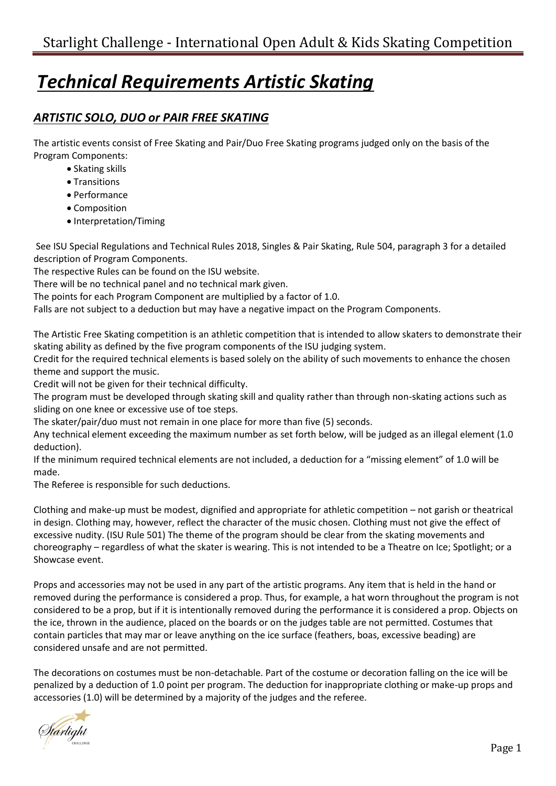# *Technical Requirements Artistic Skating*

# *ARTISTIC SOLO, DUO or PAIR FREE SKATING*

The artistic events consist of Free Skating and Pair/Duo Free Skating programs judged only on the basis of the Program Components:

- Skating skills
- Transitions
- Performance
- Composition
- Interpretation/Timing

See ISU Special Regulations and Technical Rules 2018, Singles & Pair Skating, Rule 504, paragraph 3 for a detailed description of Program Components.

The respective Rules can be found on the ISU website.

There will be no technical panel and no technical mark given.

The points for each Program Component are multiplied by a factor of 1.0.

Falls are not subject to a deduction but may have a negative impact on the Program Components.

The Artistic Free Skating competition is an athletic competition that is intended to allow skaters to demonstrate their skating ability as defined by the five program components of the ISU judging system.

Credit for the required technical elements is based solely on the ability of such movements to enhance the chosen theme and support the music.

Credit will not be given for their technical difficulty.

The program must be developed through skating skill and quality rather than through non-skating actions such as sliding on one knee or excessive use of toe steps.

The skater/pair/duo must not remain in one place for more than five (5) seconds.

Any technical element exceeding the maximum number as set forth below, will be judged as an illegal element (1.0 deduction).

If the minimum required technical elements are not included, a deduction for a "missing element" of 1.0 will be made.

The Referee is responsible for such deductions.

Clothing and make-up must be modest, dignified and appropriate for athletic competition – not garish or theatrical in design. Clothing may, however, reflect the character of the music chosen. Clothing must not give the effect of excessive nudity. (ISU Rule 501) The theme of the program should be clear from the skating movements and choreography – regardless of what the skater is wearing. This is not intended to be a Theatre on Ice; Spotlight; or a Showcase event.

Props and accessories may not be used in any part of the artistic programs. Any item that is held in the hand or removed during the performance is considered a prop. Thus, for example, a hat worn throughout the program is not considered to be a prop, but if it is intentionally removed during the performance it is considered a prop. Objects on the ice, thrown in the audience, placed on the boards or on the judges table are not permitted. Costumes that contain particles that may mar or leave anything on the ice surface (feathers, boas, excessive beading) are considered unsafe and are not permitted.

The decorations on costumes must be non-detachable. Part of the costume or decoration falling on the ice will be penalized by a deduction of 1.0 point per program. The deduction for inappropriate clothing or make-up props and accessories (1.0) will be determined by a majority of the judges and the referee.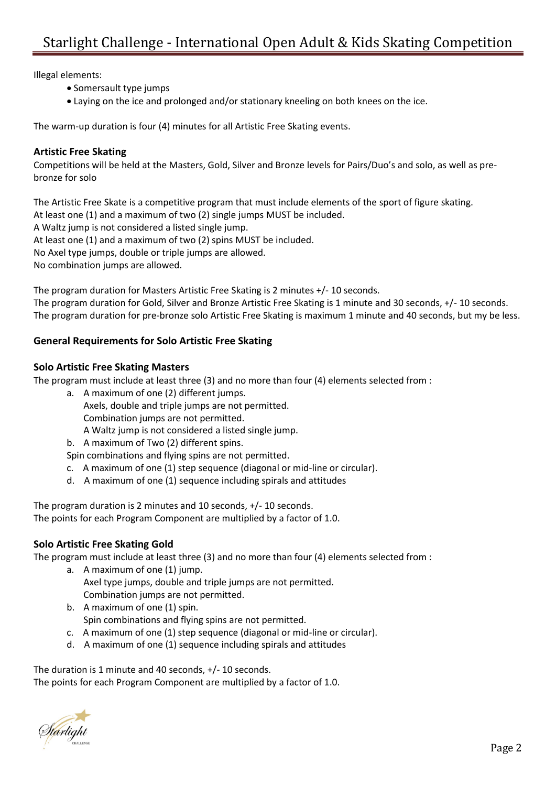Illegal elements:

- Somersault type jumps
- Laying on the ice and prolonged and/or stationary kneeling on both knees on the ice.

The warm-up duration is four (4) minutes for all Artistic Free Skating events.

#### **Artistic Free Skating**

Competitions will be held at the Masters, Gold, Silver and Bronze levels for Pairs/Duo's and solo, as well as prebronze for solo

The Artistic Free Skate is a competitive program that must include elements of the sport of figure skating. At least one (1) and a maximum of two (2) single jumps MUST be included. A Waltz jump is not considered a listed single jump. At least one (1) and a maximum of two (2) spins MUST be included. No Axel type jumps, double or triple jumps are allowed. No combination jumps are allowed.

The program duration for Masters Artistic Free Skating is 2 minutes +/- 10 seconds. The program duration for Gold, Silver and Bronze Artistic Free Skating is 1 minute and 30 seconds, +/- 10 seconds. The program duration for pre-bronze solo Artistic Free Skating is maximum 1 minute and 40 seconds, but my be less.

# **General Requirements for Solo Artistic Free Skating**

#### **Solo Artistic Free Skating Masters**

The program must include at least three (3) and no more than four (4) elements selected from :

- a. A maximum of one (2) different jumps.
	- Axels, double and triple jumps are not permitted. Combination jumps are not permitted.
	- A Waltz jump is not considered a listed single jump.
- b. A maximum of Two (2) different spins.

Spin combinations and flying spins are not permitted.

- c. A maximum of one (1) step sequence (diagonal or mid-line or circular).
- d. A maximum of one (1) sequence including spirals and attitudes

The program duration is 2 minutes and 10 seconds, +/- 10 seconds. The points for each Program Component are multiplied by a factor of 1.0.

#### **Solo Artistic Free Skating Gold**

The program must include at least three (3) and no more than four (4) elements selected from :

- a. A maximum of one (1) jump. Axel type jumps, double and triple jumps are not permitted. Combination jumps are not permitted.
- b. A maximum of one (1) spin. Spin combinations and flying spins are not permitted.
- c. A maximum of one (1) step sequence (diagonal or mid-line or circular).
- d. A maximum of one (1) sequence including spirals and attitudes

The duration is 1 minute and 40 seconds, +/- 10 seconds. The points for each Program Component are multiplied by a factor of 1.0.

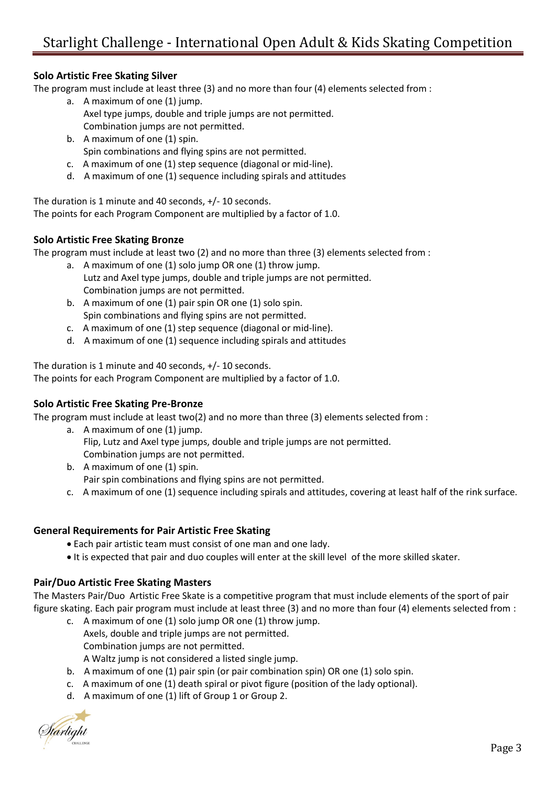# **Solo Artistic Free Skating Silver**

The program must include at least three (3) and no more than four (4) elements selected from :

- a. A maximum of one (1) jump. Axel type jumps, double and triple jumps are not permitted. Combination jumps are not permitted.
- b. A maximum of one (1) spin. Spin combinations and flying spins are not permitted.
- c. A maximum of one (1) step sequence (diagonal or mid-line).
- d. A maximum of one (1) sequence including spirals and attitudes

The duration is 1 minute and 40 seconds, +/- 10 seconds.

The points for each Program Component are multiplied by a factor of 1.0.

# **Solo Artistic Free Skating Bronze**

The program must include at least two (2) and no more than three (3) elements selected from :

- a. A maximum of one (1) solo jump OR one (1) throw jump. Lutz and Axel type jumps, double and triple jumps are not permitted. Combination jumps are not permitted.
- b. A maximum of one (1) pair spin OR one (1) solo spin. Spin combinations and flying spins are not permitted.
- c. A maximum of one (1) step sequence (diagonal or mid-line).
- d. A maximum of one (1) sequence including spirals and attitudes

The duration is 1 minute and 40 seconds, +/- 10 seconds. The points for each Program Component are multiplied by a factor of 1.0.

# **Solo Artistic Free Skating Pre-Bronze**

The program must include at least two(2) and no more than three (3) elements selected from :

- a. A maximum of one (1) jump. Flip, Lutz and Axel type jumps, double and triple jumps are not permitted. Combination jumps are not permitted.
- b. A maximum of one (1) spin. Pair spin combinations and flying spins are not permitted.
- c. A maximum of one (1) sequence including spirals and attitudes, covering at least half of the rink surface.

# **General Requirements for Pair Artistic Free Skating**

- Each pair artistic team must consist of one man and one lady.
- It is expected that pair and duo couples will enter at the skill level of the more skilled skater.

# **Pair/Duo Artistic Free Skating Masters**

The Masters Pair/Duo Artistic Free Skate is a competitive program that must include elements of the sport of pair figure skating. Each pair program must include at least three (3) and no more than four (4) elements selected from :

- c. A maximum of one (1) solo jump OR one (1) throw jump. Axels, double and triple jumps are not permitted. Combination jumps are not permitted. A Waltz jump is not considered a listed single jump.
	-
- b. A maximum of one (1) pair spin (or pair combination spin) OR one (1) solo spin.
- c. A maximum of one (1) death spiral or pivot figure (position of the lady optional).
- d. A maximum of one (1) lift of Group 1 or Group 2.